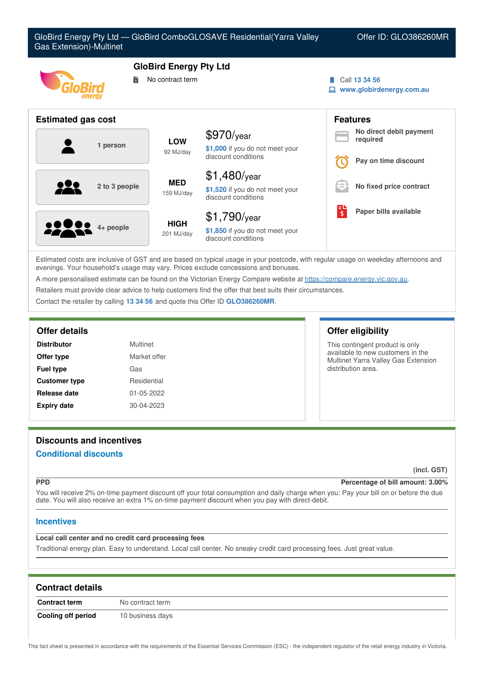

| Estimated costs are inclusive of GST and are based on typical usage in your postcode, with regular usage on weekday afternoons and |
|------------------------------------------------------------------------------------------------------------------------------------|
| evenings. Your household's usage may vary. Prices exclude concessions and bonuses.                                                 |

discount conditions

**\$1,850** if you do not meet your

A more personalised estimate can be found on the Victorian Energy Compare website at <https://compare.energy.vic.gov.au>.

Retailers must provide clear advice to help customers find the offer that best suits their circumstances.

201 MJ/day

Contact the retailer by calling **13 34 56** and quote this Offer ID **GLO386260MR**.

**4+ people HIGH**

| <b>Distributor</b>   | Multinet     |
|----------------------|--------------|
| Offer type           | Market offer |
| <b>Fuel type</b>     | Gas          |
| <b>Customer type</b> | Residential  |
| Release date         | 01-05-2022   |
| <b>Expiry date</b>   | 30-04-2023   |

## **Offer details Offer eligibility**

This contingent product is only available to new customers in the Multinet Yarra Valley Gas Extension distribution area.

# **Discounts and incentives**

## **Conditional discounts**

**(incl. GST)**

### **PPD Percentage of bill amount: 3.00%**

You will receive 2% on-time payment discount off your total consumption and daily charge when you: Pay your bill on or before the due date. You will also receive an extra 1% on-time payment discount when you pay with direct-debit.

## **Incentives**

## **Local call center and no credit card processing fees**

Traditional energy plan. Easy to understand. Local call center. No sneaky credit card processing fees. Just great value.

| <b>Contract details</b> |                  |
|-------------------------|------------------|
| <b>Contract term</b>    | No contract term |
| Cooling off period      | 10 business days |

This fact sheet is presented in accordance with the requirements of the Essential Services Commission (ESC) - the independent regulator of the retail energy industry in Victoria.